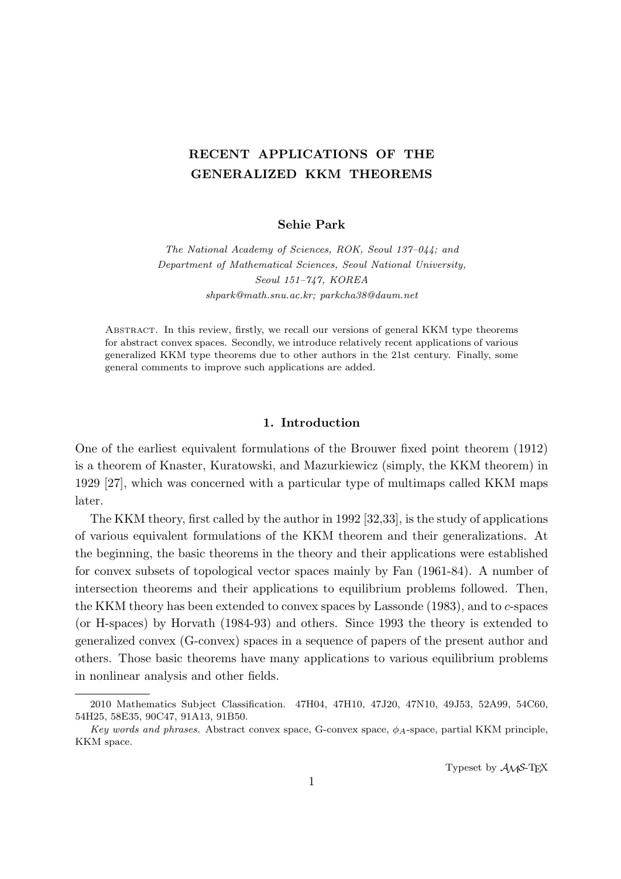# **RECENT APPLICATIONS OF THE GENERALIZED KKM THEOREMS**

# **Sehie Park**

*The National Academy of Sciences, ROK, Seoul 137–044; and Department of Mathematical Sciences, Seoul National University, Seoul 151–747, KOREA shpark@math.snu.ac.kr; parkcha38@daum.net*

Abstract. In this review, firstly, we recall our versions of general KKM type theorems for abstract convex spaces. Secondly, we introduce relatively recent applications of various generalized KKM type theorems due to other authors in the 21st century. Finally, some general comments to improve such applications are added.

# **1. Introduction**

One of the earliest equivalent formulations of the Brouwer fixed point theorem (1912) is a theorem of Knaster, Kuratowski, and Mazurkiewicz (simply, the KKM theorem) in 1929 [27], which was concerned with a particular type of multimaps called KKM maps later.

The KKM theory, first called by the author in 1992 [32,33], is the study of applications of various equivalent formulations of the KKM theorem and their generalizations. At the beginning, the basic theorems in the theory and their applications were established for convex subsets of topological vector spaces mainly by Fan (1961-84). A number of intersection theorems and their applications to equilibrium problems followed. Then, the KKM theory has been extended to convex spaces by Lassonde (1983), and to *c*-spaces (or H-spaces) by Horvath (1984-93) and others. Since 1993 the theory is extended to generalized convex (G-convex) spaces in a sequence of papers of the present author and others. Those basic theorems have many applications to various equilibrium problems in nonlinear analysis and other fields.

<sup>2010</sup> Mathematics Subject Classification. 47H04, 47H10, 47J20, 47N10, 49J53, 52A99, 54C60, 54H25, 58E35, 90C47, 91A13, 91B50.

*Key words and phrases.* Abstract convex space, G-convex space, *ϕA*-space, partial KKM principle, KKM space.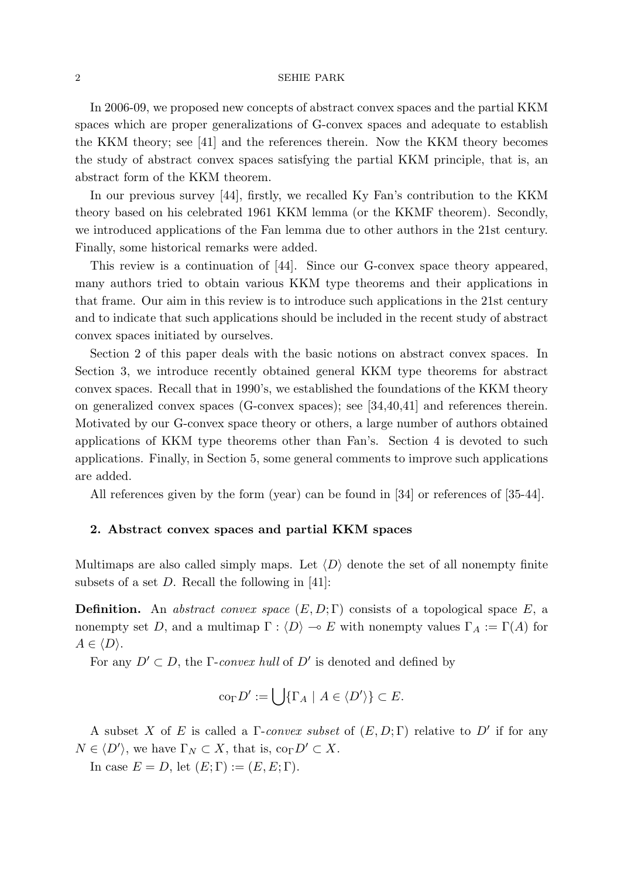In 2006-09, we proposed new concepts of abstract convex spaces and the partial KKM spaces which are proper generalizations of G-convex spaces and adequate to establish the KKM theory; see [41] and the references therein. Now the KKM theory becomes the study of abstract convex spaces satisfying the partial KKM principle, that is, an abstract form of the KKM theorem.

In our previous survey [44], firstly, we recalled Ky Fan's contribution to the KKM theory based on his celebrated 1961 KKM lemma (or the KKMF theorem). Secondly, we introduced applications of the Fan lemma due to other authors in the 21st century. Finally, some historical remarks were added.

This review is a continuation of [44]. Since our G-convex space theory appeared, many authors tried to obtain various KKM type theorems and their applications in that frame. Our aim in this review is to introduce such applications in the 21st century and to indicate that such applications should be included in the recent study of abstract convex spaces initiated by ourselves.

Section 2 of this paper deals with the basic notions on abstract convex spaces. In Section 3, we introduce recently obtained general KKM type theorems for abstract convex spaces. Recall that in 1990's, we established the foundations of the KKM theory on generalized convex spaces (G-convex spaces); see [34,40,41] and references therein. Motivated by our G-convex space theory or others, a large number of authors obtained applications of KKM type theorems other than Fan's. Section 4 is devoted to such applications. Finally, in Section 5, some general comments to improve such applications are added.

All references given by the form (year) can be found in [34] or references of [35-44].

# **2. Abstract convex spaces and partial KKM spaces**

Multimaps are also called simply maps. Let  $\langle D \rangle$  denote the set of all nonempty finite subsets of a set *D*. Recall the following in [41]:

**Definition.** An *abstract convex space* (*E, D*; Γ) consists of a topological space *E*, a nonempty set *D*, and a multimap  $\Gamma : \langle D \rangle \to E$  with nonempty values  $\Gamma_A := \Gamma(A)$  for  $A \in \langle D \rangle$ .

For any  $D' \subset D$ , the  $\Gamma$ -*convex hull* of  $D'$  is denoted and defined by

$$
\text{co}_{\Gamma} D':=\bigcup\{\Gamma_A \ | \ A\in \langle D'\rangle\}\subset E.
$$

A subset *X* of *E* is called a Γ-*convex subset* of (*E, D*; Γ) relative to *D′* if for any  $N \in \langle D' \rangle$ , we have  $\Gamma_N \subset X$ , that is,  $\text{co}_{\Gamma} D' \subset X$ .

In case  $E = D$ , let  $(E; \Gamma) := (E, E; \Gamma)$ .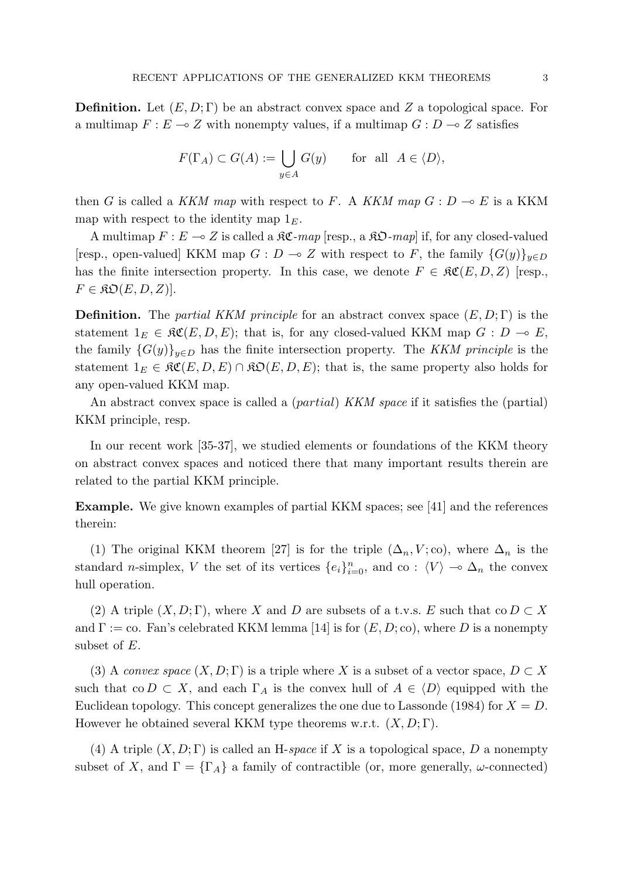**Definition.** Let (*E, D*; Γ) be an abstract convex space and *Z* a topological space. For a multimap  $F: E \to Z$  with nonempty values, if a multimap  $G: D \to Z$  satisfies

$$
F(\Gamma_A) \subset G(A) := \bigcup_{y \in A} G(y) \quad \text{for all } A \in \langle D \rangle,
$$

then *G* is called a *KKM map* with respect to *F*. A *KKM map*  $G: D \to E$  is a KKM map with respect to the identity map 1*E*.

A multimap  $F: E \to Z$  is called a  $\Re \mathfrak{C}$ -map [resp., a  $\Re \mathfrak{O}$ -map] if, for any closed-valued [resp., open-valued] KKM map  $G : D \to Z$  with respect to *F*, the family  $\{G(y)\}_{y \in D}$ has the finite intersection property. In this case, we denote  $F \in \mathcal{RC}(E, D, Z)$  [resp.,  $F \in \mathfrak{RO}(E, D, Z)$ .

**Definition.** The *partial KKM principle* for an abstract convex space (*E, D*; Γ) is the statement  $1_E \in \mathfrak{RC}(E, D, E)$ ; that is, for any closed-valued KKM map  $G : D \multimap E$ , the family  ${G(y)}_{y\in D}$  has the finite intersection property. The *KKM principle* is the statement  $1_E \in \mathfrak{RC}(E, D, E) \cap \mathfrak{RO}(E, D, E)$ ; that is, the same property also holds for any open-valued KKM map.

An abstract convex space is called a (*partial*) *KKM space* if it satisfies the (partial) KKM principle, resp.

In our recent work [35-37], we studied elements or foundations of the KKM theory on abstract convex spaces and noticed there that many important results therein are related to the partial KKM principle.

**Example.** We give known examples of partial KKM spaces; see [41] and the references therein:

(1) The original KKM theorem [27] is for the triple  $(\Delta_n, V; \text{co})$ , where  $\Delta_n$  is the standard *n*-simplex, *V* the set of its vertices  $\{e_i\}_{i=0}^n$ , and co :  $\langle V \rangle \to \Delta_n$  the convex hull operation.

(2) A triple  $(X, D; \Gamma)$ , where *X* and *D* are subsets of a t.v.s. *E* such that co  $D \subset X$ and  $\Gamma := \text{co. Fan's celebrated KKM lemma}$  [14] is for  $(E, D; \text{co})$ , where *D* is a nonempty subset of *E*.

(3) A *convex space*  $(X, D; \Gamma)$  is a triple where X is a subset of a vector space,  $D \subset X$ such that  $\text{co } D \subset X$ , and each  $\Gamma_A$  is the convex hull of  $A \in \langle D \rangle$  equipped with the Euclidean topology. This concept generalizes the one due to Lassonde (1984) for  $X = D$ . However he obtained several KKM type theorems w.r.t. (*X, D*; Γ).

(4) A triple  $(X, D; \Gamma)$  is called an H-*space* if X is a topological space, D a nonempty subset of *X*, and  $\Gamma = {\Gamma_A}$  a family of contractible (or, more generally, *ω*-connected)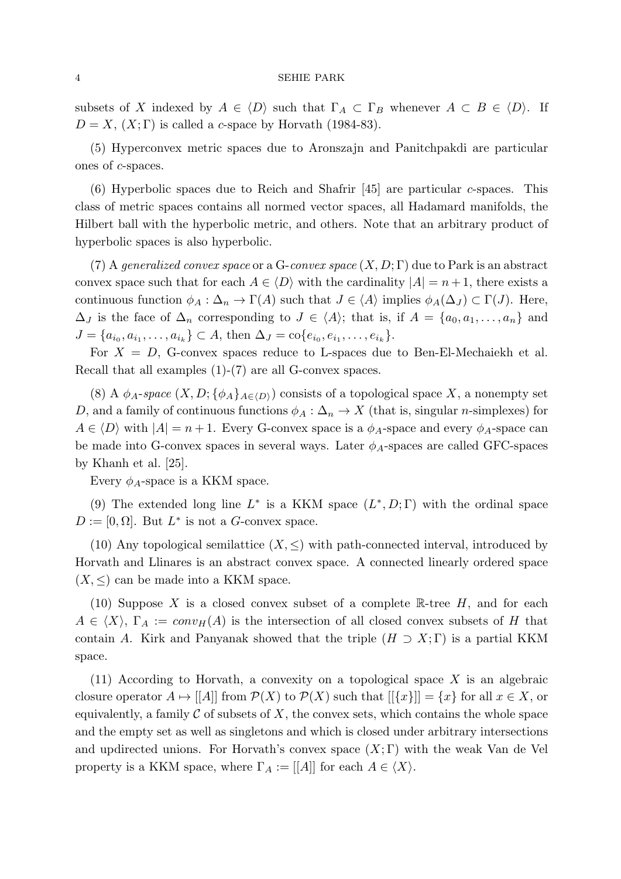subsets of *X* indexed by  $A \in \langle D \rangle$  such that  $\Gamma_A \subset \Gamma_B$  whenever  $A \subset B \in \langle D \rangle$ . If  $D = X$ ,  $(X;\Gamma)$  is called a *c*-space by Horvath (1984-83).

(5) Hyperconvex metric spaces due to Aronszajn and Panitchpakdi are particular ones of *c*-spaces.

(6) Hyperbolic spaces due to Reich and Shafrir [45] are particular *c*-spaces. This class of metric spaces contains all normed vector spaces, all Hadamard manifolds, the Hilbert ball with the hyperbolic metric, and others. Note that an arbitrary product of hyperbolic spaces is also hyperbolic.

(7) A *generalized convex space* or a G-*convex space* (*X, D*; Γ) due to Park is an abstract convex space such that for each  $A \in \langle D \rangle$  with the cardinality  $|A| = n + 1$ , there exists a continuous function  $\phi_A : \Delta_n \to \Gamma(A)$  such that  $J \in \langle A \rangle$  implies  $\phi_A(\Delta_J) \subset \Gamma(J)$ . Here,  $\Delta_J$  is the face of  $\Delta_n$  corresponding to  $J \in \langle A \rangle$ ; that is, if  $A = \{a_0, a_1, \ldots, a_n\}$  and  $J = \{a_{i_0}, a_{i_1}, \ldots, a_{i_k}\} \subset A$ , then  $\Delta_J = \text{co}\{e_{i_0}, e_{i_1}, \ldots, e_{i_k}\}.$ 

For  $X = D$ , G-convex spaces reduce to L-spaces due to Ben-El-Mechaiekh et al. Recall that all examples (1)-(7) are all G-convex spaces.

(8) A  $\phi_A$ -*space*  $(X, D; {\phi_A}_{A \in \langle D \rangle})$  consists of a topological space X, a nonempty set *D*, and a family of continuous functions  $\phi_A : \Delta_n \to X$  (that is, singular *n*-simplexes) for  $A \in \langle D \rangle$  with  $|A| = n + 1$ . Every G-convex space is a  $\phi_A$ -space and every  $\phi_A$ -space can be made into G-convex spaces in several ways. Later  $\phi_A$ -spaces are called GFC-spaces by Khanh et al. [25].

Every  $\phi_A$ -space is a KKM space.

(9) The extended long line  $L^*$  is a KKM space  $(L^*, D; \Gamma)$  with the ordinal space  $D := [0, \Omega]$ . But  $L^*$  is not a *G*-convex space.

(10) Any topological semilattice  $(X, \leq)$  with path-connected interval, introduced by Horvath and Llinares is an abstract convex space. A connected linearly ordered space  $(X, \leq)$  can be made into a KKM space.

(10) Suppose *X* is a closed convex subset of a complete R-tree *H*, and for each  $A \in \langle X \rangle$ ,  $\Gamma_A := conv_H(A)$  is the intersection of all closed convex subsets of *H* that contain *A*. Kirk and Panyanak showed that the triple  $(H \supset X; \Gamma)$  is a partial KKM space.

(11) According to Horvath, a convexity on a topological space *X* is an algebraic closure operator  $A \mapsto |[A]|$  from  $\mathcal{P}(X)$  to  $\mathcal{P}(X)$  such that  $|[\{x\}]| = \{x\}$  for all  $x \in X$ , or equivalently, a family  $\mathcal C$  of subsets of  $X$ , the convex sets, which contains the whole space and the empty set as well as singletons and which is closed under arbitrary intersections and updirected unions. For Horvath's convex space  $(X;\Gamma)$  with the weak Van de Vel property is a KKM space, where  $\Gamma_A := [[A]]$  for each  $A \in \langle X \rangle$ .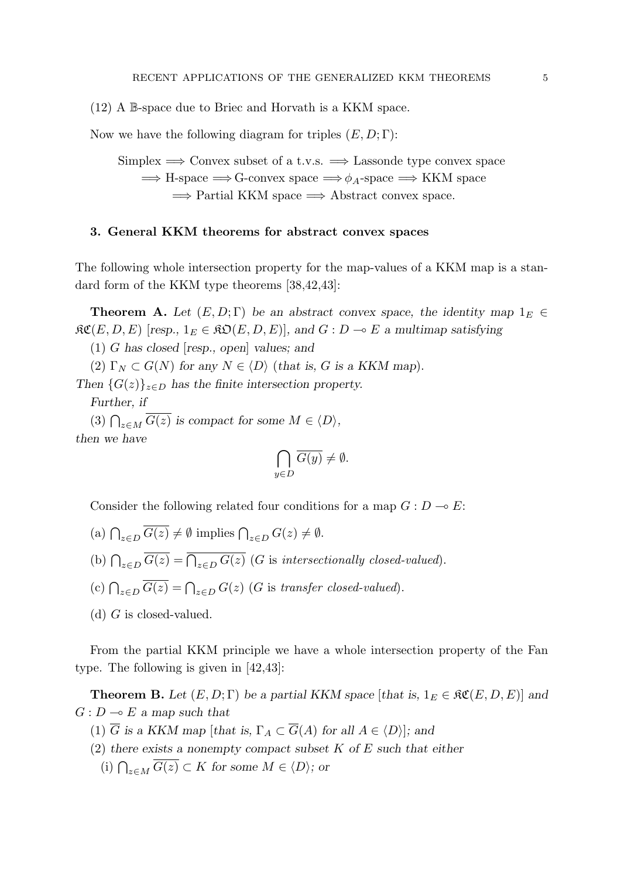(12) A B-space due to Briec and Horvath is a KKM space.

Now we have the following diagram for triples (*E, D*; Γ):

Simplex =*⇒* Convex subset of a t.v.s. =*⇒* Lassonde type convex space =*⇒* H-space =*⇒* G-convex space =*⇒ϕA*-space =*⇒* KKM space =*⇒* Partial KKM space =*⇒* Abstract convex space.

# **3. General KKM theorems for abstract convex spaces**

The following whole intersection property for the map-values of a KKM map is a standard form of the KKM type theorems [38,42,43]:

**Theorem A.** Let  $(E, D; \Gamma)$  be an abstract convex space, the identity map  $1_E \in$  $\mathcal{RC}(E, D, E)$  [*resp.,*  $1_E \in \mathcal{RO}(E, D, E)$ ], and  $G : D \multimap E$  a multimap satisfying

(1) *G has closed* [*resp., open*] *values; and*

(2)  $\Gamma_N \subset G(N)$  for any  $N \in \langle D \rangle$  (*that is, G is a KKM map*).

*Then*  ${G(z)}_{z \in D}$  *has the finite intersection property. Further, if*

(3)  $\bigcap_{z \in M} \overline{G(z)}$  is compact for some  $M \in \langle D \rangle$ , *then we have*

$$
\bigcap_{y \in D} \overline{G(y)} \neq \emptyset.
$$

Consider the following related four conditions for a map  $G: D \to E$ :

- $\left( \text{a} \right) \bigcap_{z \in D} \overline{G(z)} \neq \emptyset \text{ implies } \bigcap_{z \in D} G(z) \neq \emptyset.$
- (b)  $\bigcap_{z \in D} \overline{G(z)} = \overline{\bigcap_{z \in D} G(z)}$  (*G* is *intersectionally closed-valued*).
- (c)  $\bigcap_{z \in D} \overline{G(z)} = \bigcap_{z \in D} G(z)$  (*G* is *transfer closed-valued*).
- (d) *G* is closed-valued.

From the partial KKM principle we have a whole intersection property of the Fan type. The following is given in [42,43]:

**Theorem B.** Let  $(E, D; \Gamma)$  be a partial KKM space [*that is,*  $1_E \in \mathcal{RC}(E, D, E)$ ] and  $G: D \rightarrow E$  *a* map such that

- (1)  $\overline{G}$  *is a KKM map* [*that is,*  $\Gamma_A \subset \overline{G}(A)$  *for all*  $A \in \langle D \rangle$ ]; and
- (2) *there exists a nonempty compact subset K of E such that either*
	- (i)  $\bigcap_{z \in M} \overline{G(z)} \subset K$  *for some*  $M \in \langle D \rangle$ *; or*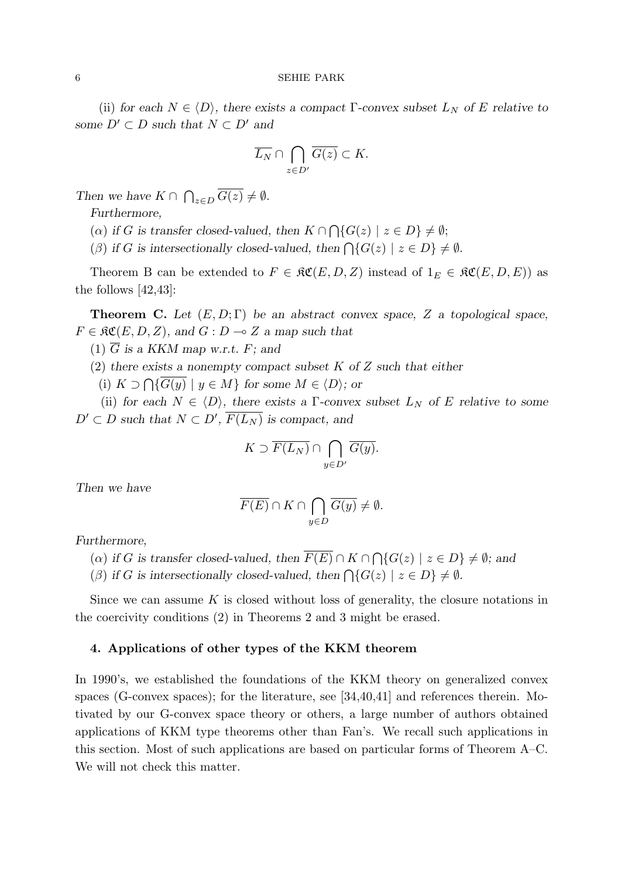(ii) *for each*  $N \in \langle D \rangle$ *, there exists a compact* Γ-convex subset  $L_N$  *of*  $E$  *relative to some*  $D' \subset D$  *such that*  $N \subset D'$  *and* 

$$
\overline{L_N} \cap \bigcap_{z \in D'} \overline{G(z)} \subset K.
$$

*Then we have*  $K \cap \bigcap_{z \in D} \overline{G(z)} \neq \emptyset$ *.* 

*Furthermore,*

(*a*) *if G* is transfer closed-valued, then  $K \cap \bigcap \{G(z) \mid z \in D\} \neq \emptyset;$ 

(*β*) if *G* is intersectionally closed-valued, then  $\bigcap \{G(z) \mid z \in D\} \neq \emptyset$ .

Theorem B can be extended to  $F \in \mathfrak{RC}(E, D, Z)$  instead of  $1_E \in \mathfrak{RC}(E, D, E)$  as the follows [42,43]:

**Theorem C.** *Let* (*E, D*; Γ) *be an abstract convex space, Z a topological space,*  $F \in \mathfrak{RC}(E, D, Z)$ , and  $G : D \multimap Z$  *a map such that* 

 $(1)$   $\overline{G}$  is a KKM map w.r.t.  $F$ ; and

(2) *there exists a nonempty compact subset K of Z such that either*

(i)  $K ⊃ \bigcap \{ \overline{G(y)} \mid y \in M \}$  for some  $M \in \langle D \rangle$ ; or

(ii) for each  $N \in \langle D \rangle$ , there exists a  $\Gamma$ -convex subset  $L_N$  of E relative to some  $D' \subset D$  *such that*  $N \subset D'$ ,  $F(L_N)$  *is compact, and* 

$$
K \supset \overline{F(L_N)} \cap \bigcap_{y \in D'} \overline{G(y)}.
$$

*Then we have*

$$
\overline{F(E)} \cap K \cap \bigcap_{y \in D} \overline{G(y)} \neq \emptyset.
$$

*Furthermore,*

 $(\alpha)$  *if G is transfer closed-valued, then*  $\overline{F(E)} \cap K \cap \bigcap \{G(z) \mid z \in D\} \neq \emptyset$ ; and

(*β*) if *G* is intersectionally closed-valued, then  $\bigcap \{G(z) \mid z \in D\} \neq \emptyset$ .

Since we can assume *K* is closed without loss of generality, the closure notations in the coercivity conditions (2) in Theorems 2 and 3 might be erased.

### **4. Applications of other types of the KKM theorem**

In 1990's, we established the foundations of the KKM theory on generalized convex spaces (G-convex spaces); for the literature, see [34,40,41] and references therein. Motivated by our G-convex space theory or others, a large number of authors obtained applications of KKM type theorems other than Fan's. We recall such applications in this section. Most of such applications are based on particular forms of Theorem A–C. We will not check this matter.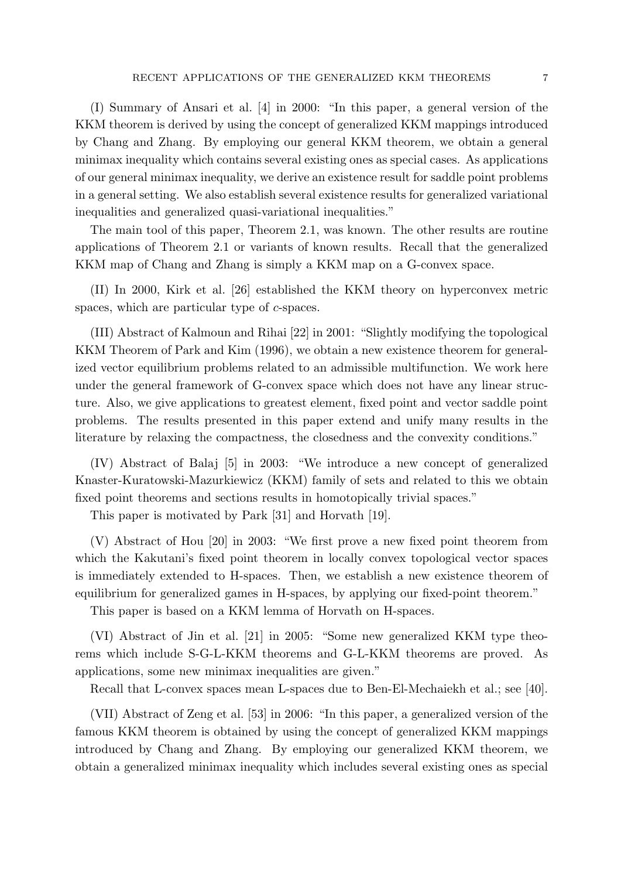(I) Summary of Ansari et al. [4] in 2000: "In this paper, a general version of the KKM theorem is derived by using the concept of generalized KKM mappings introduced by Chang and Zhang. By employing our general KKM theorem, we obtain a general minimax inequality which contains several existing ones as special cases. As applications of our general minimax inequality, we derive an existence result for saddle point problems in a general setting. We also establish several existence results for generalized variational inequalities and generalized quasi-variational inequalities."

The main tool of this paper, Theorem 2.1, was known. The other results are routine applications of Theorem 2.1 or variants of known results. Recall that the generalized KKM map of Chang and Zhang is simply a KKM map on a G-convex space.

(II) In 2000, Kirk et al. [26] established the KKM theory on hyperconvex metric spaces, which are particular type of *c*-spaces.

(III) Abstract of Kalmoun and Rihai [22] in 2001: "Slightly modifying the topological KKM Theorem of Park and Kim (1996), we obtain a new existence theorem for generalized vector equilibrium problems related to an admissible multifunction. We work here under the general framework of G-convex space which does not have any linear structure. Also, we give applications to greatest element, fixed point and vector saddle point problems. The results presented in this paper extend and unify many results in the literature by relaxing the compactness, the closedness and the convexity conditions."

(IV) Abstract of Balaj [5] in 2003: "We introduce a new concept of generalized Knaster-Kuratowski-Mazurkiewicz (KKM) family of sets and related to this we obtain fixed point theorems and sections results in homotopically trivial spaces."

This paper is motivated by Park [31] and Horvath [19].

(V) Abstract of Hou [20] in 2003: "We first prove a new fixed point theorem from which the Kakutani's fixed point theorem in locally convex topological vector spaces is immediately extended to H-spaces. Then, we establish a new existence theorem of equilibrium for generalized games in H-spaces, by applying our fixed-point theorem."

This paper is based on a KKM lemma of Horvath on H-spaces.

(VI) Abstract of Jin et al. [21] in 2005: "Some new generalized KKM type theorems which include S-G-L-KKM theorems and G-L-KKM theorems are proved. As applications, some new minimax inequalities are given."

Recall that L-convex spaces mean L-spaces due to Ben-El-Mechaiekh et al.; see [40].

(VII) Abstract of Zeng et al. [53] in 2006: "In this paper, a generalized version of the famous KKM theorem is obtained by using the concept of generalized KKM mappings introduced by Chang and Zhang. By employing our generalized KKM theorem, we obtain a generalized minimax inequality which includes several existing ones as special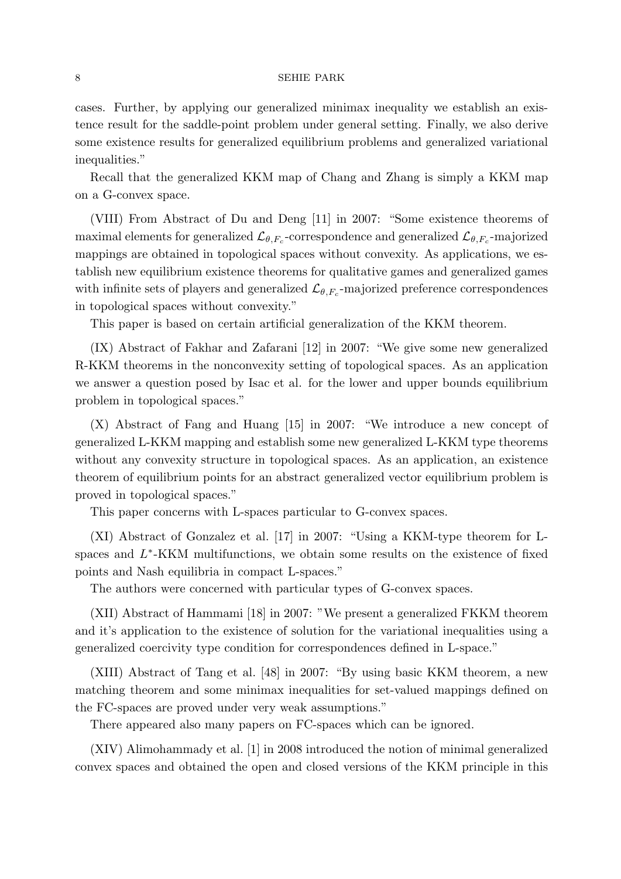cases. Further, by applying our generalized minimax inequality we establish an existence result for the saddle-point problem under general setting. Finally, we also derive some existence results for generalized equilibrium problems and generalized variational inequalities."

Recall that the generalized KKM map of Chang and Zhang is simply a KKM map on a G-convex space.

(VIII) From Abstract of Du and Deng [11] in 2007: "Some existence theorems of maximal elements for generalized  $\mathcal{L}_{\theta,F_c}$ -correspondence and generalized  $\mathcal{L}_{\theta,F_c}$ -majorized mappings are obtained in topological spaces without convexity. As applications, we establish new equilibrium existence theorems for qualitative games and generalized games with infinite sets of players and generalized  $\mathcal{L}_{\theta,F_c}$ -majorized preference correspondences in topological spaces without convexity."

This paper is based on certain artificial generalization of the KKM theorem.

(IX) Abstract of Fakhar and Zafarani [12] in 2007: "We give some new generalized R-KKM theorems in the nonconvexity setting of topological spaces. As an application we answer a question posed by Isac et al. for the lower and upper bounds equilibrium problem in topological spaces."

(X) Abstract of Fang and Huang [15] in 2007: "We introduce a new concept of generalized L-KKM mapping and establish some new generalized L-KKM type theorems without any convexity structure in topological spaces. As an application, an existence theorem of equilibrium points for an abstract generalized vector equilibrium problem is proved in topological spaces."

This paper concerns with L-spaces particular to G-convex spaces.

(XI) Abstract of Gonzalez et al. [17] in 2007: "Using a KKM-type theorem for Lspaces and  $L^*$ -KKM multifunctions, we obtain some results on the existence of fixed points and Nash equilibria in compact L-spaces."

The authors were concerned with particular types of G-convex spaces.

(XII) Abstract of Hammami [18] in 2007: "We present a generalized FKKM theorem and it's application to the existence of solution for the variational inequalities using a generalized coercivity type condition for correspondences defined in L-space."

(XIII) Abstract of Tang et al. [48] in 2007: "By using basic KKM theorem, a new matching theorem and some minimax inequalities for set-valued mappings defined on the FC-spaces are proved under very weak assumptions."

There appeared also many papers on FC-spaces which can be ignored.

(XIV) Alimohammady et al. [1] in 2008 introduced the notion of minimal generalized convex spaces and obtained the open and closed versions of the KKM principle in this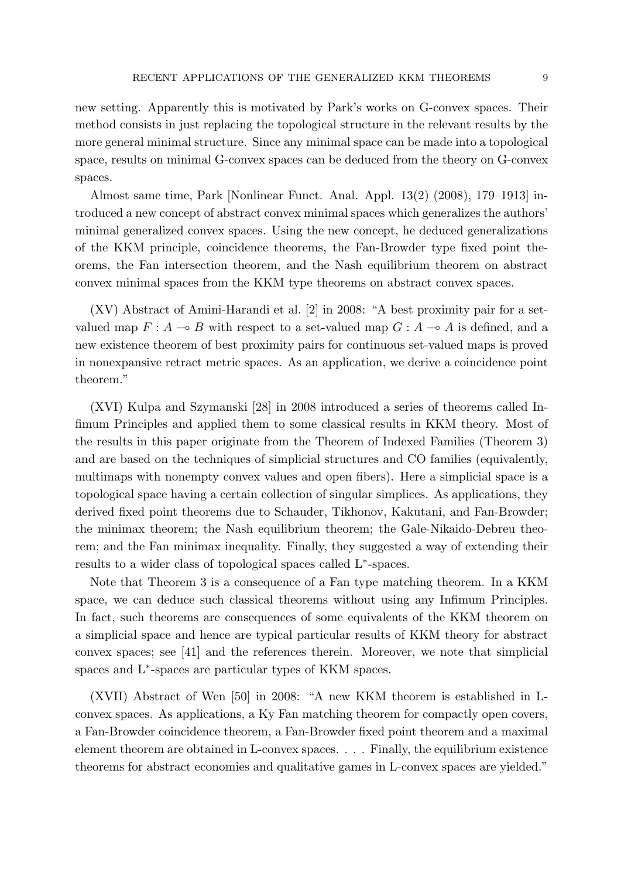new setting. Apparently this is motivated by Park's works on G-convex spaces. Their method consists in just replacing the topological structure in the relevant results by the more general minimal structure. Since any minimal space can be made into a topological space, results on minimal G-convex spaces can be deduced from the theory on G-convex spaces.

Almost same time, Park [Nonlinear Funct. Anal. Appl. 13(2) (2008), 179–1913] introduced a new concept of abstract convex minimal spaces which generalizes the authors' minimal generalized convex spaces. Using the new concept, he deduced generalizations of the KKM principle, coincidence theorems, the Fan-Browder type fixed point theorems, the Fan intersection theorem, and the Nash equilibrium theorem on abstract convex minimal spaces from the KKM type theorems on abstract convex spaces.

(XV) Abstract of Amini-Harandi et al. [2] in 2008: "A best proximity pair for a setvalued map  $F: A \rightarrow B$  with respect to a set-valued map  $G: A \rightarrow A$  is defined, and a new existence theorem of best proximity pairs for continuous set-valued maps is proved in nonexpansive retract metric spaces. As an application, we derive a coincidence point theorem."

(XVI) Kulpa and Szymanski [28] in 2008 introduced a series of theorems called Infimum Principles and applied them to some classical results in KKM theory. Most of the results in this paper originate from the Theorem of Indexed Families (Theorem 3) and are based on the techniques of simplicial structures and CO families (equivalently, multimaps with nonempty convex values and open fibers). Here a simplicial space is a topological space having a certain collection of singular simplices. As applications, they derived fixed point theorems due to Schauder, Tikhonov, Kakutani, and Fan-Browder; the minimax theorem; the Nash equilibrium theorem; the Gale-Nikaido-Debreu theorem; and the Fan minimax inequality. Finally, they suggested a way of extending their results to a wider class of topological spaces called L*<sup>∗</sup>* -spaces.

Note that Theorem 3 is a consequence of a Fan type matching theorem. In a KKM space, we can deduce such classical theorems without using any Infimum Principles. In fact, such theorems are consequences of some equivalents of the KKM theorem on a simplicial space and hence are typical particular results of KKM theory for abstract convex spaces; see [41] and the references therein. Moreover, we note that simplicial spaces and L*<sup>∗</sup>* -spaces are particular types of KKM spaces.

(XVII) Abstract of Wen [50] in 2008: "A new KKM theorem is established in Lconvex spaces. As applications, a Ky Fan matching theorem for compactly open covers, a Fan-Browder coincidence theorem, a Fan-Browder fixed point theorem and a maximal element theorem are obtained in L-convex spaces. . . . Finally, the equilibrium existence theorems for abstract economies and qualitative games in L-convex spaces are yielded."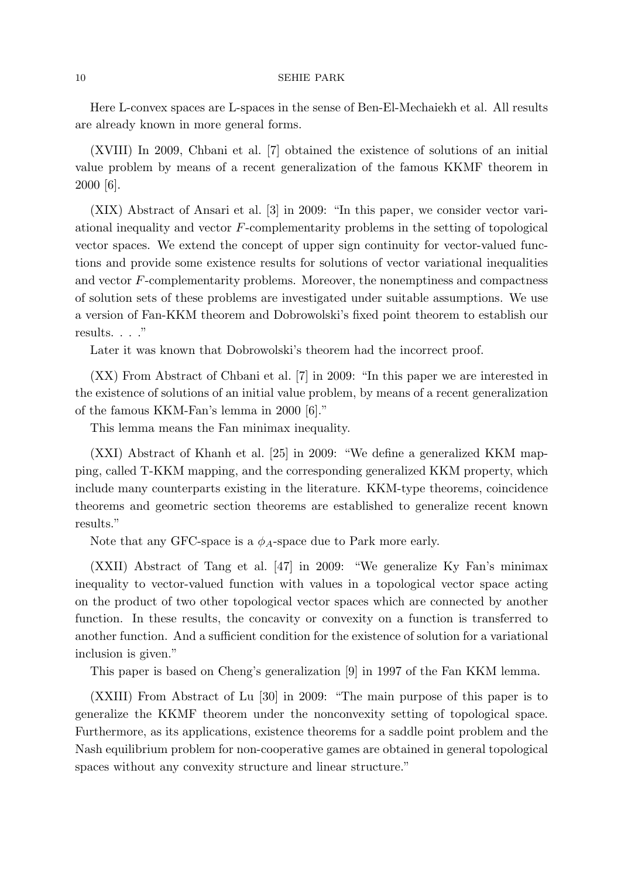Here L-convex spaces are L-spaces in the sense of Ben-El-Mechaiekh et al. All results are already known in more general forms.

(XVIII) In 2009, Chbani et al. [7] obtained the existence of solutions of an initial value problem by means of a recent generalization of the famous KKMF theorem in 2000 [6].

(XIX) Abstract of Ansari et al. [3] in 2009: "In this paper, we consider vector variational inequality and vector *F*-complementarity problems in the setting of topological vector spaces. We extend the concept of upper sign continuity for vector-valued functions and provide some existence results for solutions of vector variational inequalities and vector *F*-complementarity problems. Moreover, the nonemptiness and compactness of solution sets of these problems are investigated under suitable assumptions. We use a version of Fan-KKM theorem and Dobrowolski's fixed point theorem to establish our results. . . ."

Later it was known that Dobrowolski's theorem had the incorrect proof.

(XX) From Abstract of Chbani et al. [7] in 2009: "In this paper we are interested in the existence of solutions of an initial value problem, by means of a recent generalization of the famous KKM-Fan's lemma in 2000 [6]."

This lemma means the Fan minimax inequality.

(XXI) Abstract of Khanh et al. [25] in 2009: "We define a generalized KKM mapping, called T-KKM mapping, and the corresponding generalized KKM property, which include many counterparts existing in the literature. KKM-type theorems, coincidence theorems and geometric section theorems are established to generalize recent known results."

Note that any GFC-space is a  $\phi_A$ -space due to Park more early.

(XXII) Abstract of Tang et al. [47] in 2009: "We generalize Ky Fan's minimax inequality to vector-valued function with values in a topological vector space acting on the product of two other topological vector spaces which are connected by another function. In these results, the concavity or convexity on a function is transferred to another function. And a sufficient condition for the existence of solution for a variational inclusion is given."

This paper is based on Cheng's generalization [9] in 1997 of the Fan KKM lemma.

(XXIII) From Abstract of Lu [30] in 2009: "The main purpose of this paper is to generalize the KKMF theorem under the nonconvexity setting of topological space. Furthermore, as its applications, existence theorems for a saddle point problem and the Nash equilibrium problem for non-cooperative games are obtained in general topological spaces without any convexity structure and linear structure."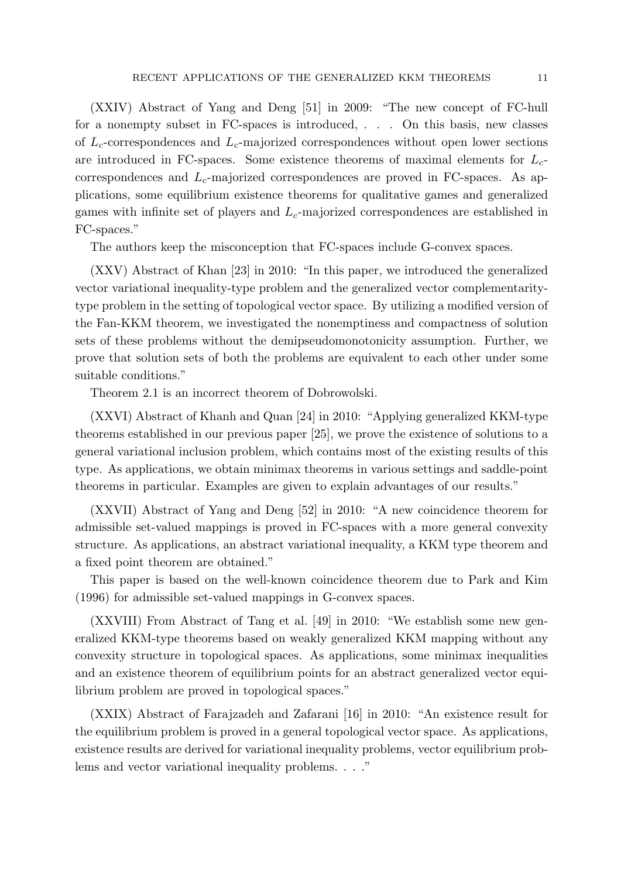(XXIV) Abstract of Yang and Deng [51] in 2009: "The new concept of FC-hull for a nonempty subset in FC-spaces is introduced, . . . On this basis, new classes of *Lc*-correspondences and *Lc*-majorized correspondences without open lower sections are introduced in FC-spaces. Some existence theorems of maximal elements for *Lc*correspondences and *Lc*-majorized correspondences are proved in FC-spaces. As applications, some equilibrium existence theorems for qualitative games and generalized games with infinite set of players and *Lc*-majorized correspondences are established in FC-spaces."

The authors keep the misconception that FC-spaces include G-convex spaces.

(XXV) Abstract of Khan [23] in 2010: "In this paper, we introduced the generalized vector variational inequality-type problem and the generalized vector complementaritytype problem in the setting of topological vector space. By utilizing a modified version of the Fan-KKM theorem, we investigated the nonemptiness and compactness of solution sets of these problems without the demipseudomonotonicity assumption. Further, we prove that solution sets of both the problems are equivalent to each other under some suitable conditions."

Theorem 2.1 is an incorrect theorem of Dobrowolski.

(XXVI) Abstract of Khanh and Quan [24] in 2010: "Applying generalized KKM-type theorems established in our previous paper [25], we prove the existence of solutions to a general variational inclusion problem, which contains most of the existing results of this type. As applications, we obtain minimax theorems in various settings and saddle-point theorems in particular. Examples are given to explain advantages of our results."

(XXVII) Abstract of Yang and Deng [52] in 2010: "A new coincidence theorem for admissible set-valued mappings is proved in FC-spaces with a more general convexity structure. As applications, an abstract variational inequality, a KKM type theorem and a fixed point theorem are obtained."

This paper is based on the well-known coincidence theorem due to Park and Kim (1996) for admissible set-valued mappings in G-convex spaces.

(XXVIII) From Abstract of Tang et al. [49] in 2010: "We establish some new generalized KKM-type theorems based on weakly generalized KKM mapping without any convexity structure in topological spaces. As applications, some minimax inequalities and an existence theorem of equilibrium points for an abstract generalized vector equilibrium problem are proved in topological spaces."

(XXIX) Abstract of Farajzadeh and Zafarani [16] in 2010: "An existence result for the equilibrium problem is proved in a general topological vector space. As applications, existence results are derived for variational inequality problems, vector equilibrium problems and vector variational inequality problems. . . ."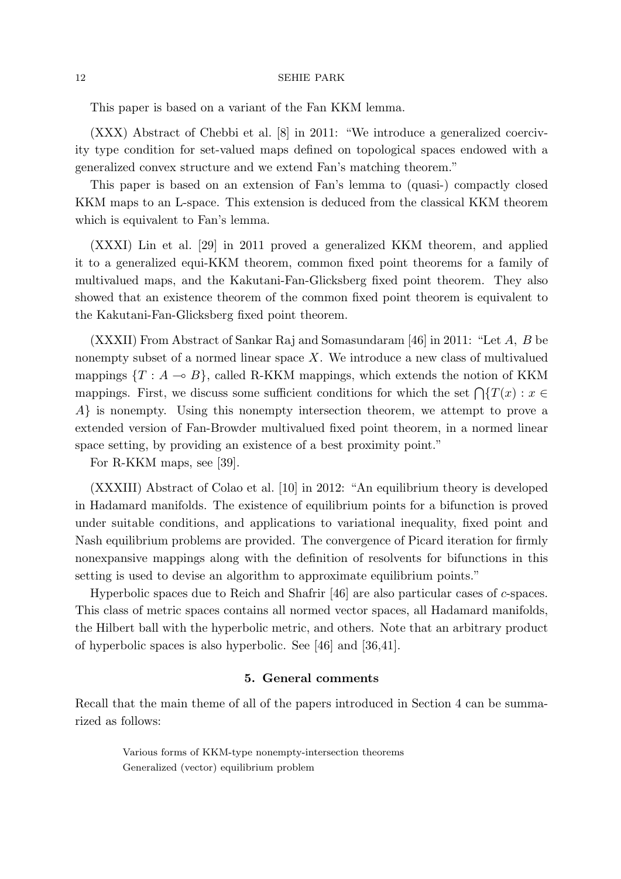This paper is based on a variant of the Fan KKM lemma.

(XXX) Abstract of Chebbi et al. [8] in 2011: "We introduce a generalized coercivity type condition for set-valued maps defined on topological spaces endowed with a generalized convex structure and we extend Fan's matching theorem."

This paper is based on an extension of Fan's lemma to (quasi-) compactly closed KKM maps to an L-space. This extension is deduced from the classical KKM theorem which is equivalent to Fan's lemma.

(XXXI) Lin et al. [29] in 2011 proved a generalized KKM theorem, and applied it to a generalized equi-KKM theorem, common fixed point theorems for a family of multivalued maps, and the Kakutani-Fan-Glicksberg fixed point theorem. They also showed that an existence theorem of the common fixed point theorem is equivalent to the Kakutani-Fan-Glicksberg fixed point theorem.

(XXXII) From Abstract of Sankar Raj and Somasundaram [46] in 2011: "Let *A, B* be nonempty subset of a normed linear space *X*. We introduce a new class of multivalued mappings  $\{T : A \multimap B\}$ , called R-KKM mappings, which extends the notion of KKM mappings. First, we discuss some sufficient conditions for which the set  $\bigcap \{T(x) : x \in \mathbb{R}^n\}$ *A}* is nonempty. Using this nonempty intersection theorem, we attempt to prove a extended version of Fan-Browder multivalued fixed point theorem, in a normed linear space setting, by providing an existence of a best proximity point."

For R-KKM maps, see [39].

(XXXIII) Abstract of Colao et al. [10] in 2012: "An equilibrium theory is developed in Hadamard manifolds. The existence of equilibrium points for a bifunction is proved under suitable conditions, and applications to variational inequality, fixed point and Nash equilibrium problems are provided. The convergence of Picard iteration for firmly nonexpansive mappings along with the definition of resolvents for bifunctions in this setting is used to devise an algorithm to approximate equilibrium points."

Hyperbolic spaces due to Reich and Shafrir [46] are also particular cases of *c*-spaces. This class of metric spaces contains all normed vector spaces, all Hadamard manifolds, the Hilbert ball with the hyperbolic metric, and others. Note that an arbitrary product of hyperbolic spaces is also hyperbolic. See [46] and [36,41].

### **5. General comments**

Recall that the main theme of all of the papers introduced in Section 4 can be summarized as follows:

> Various forms of KKM-type nonempty-intersection theorems Generalized (vector) equilibrium problem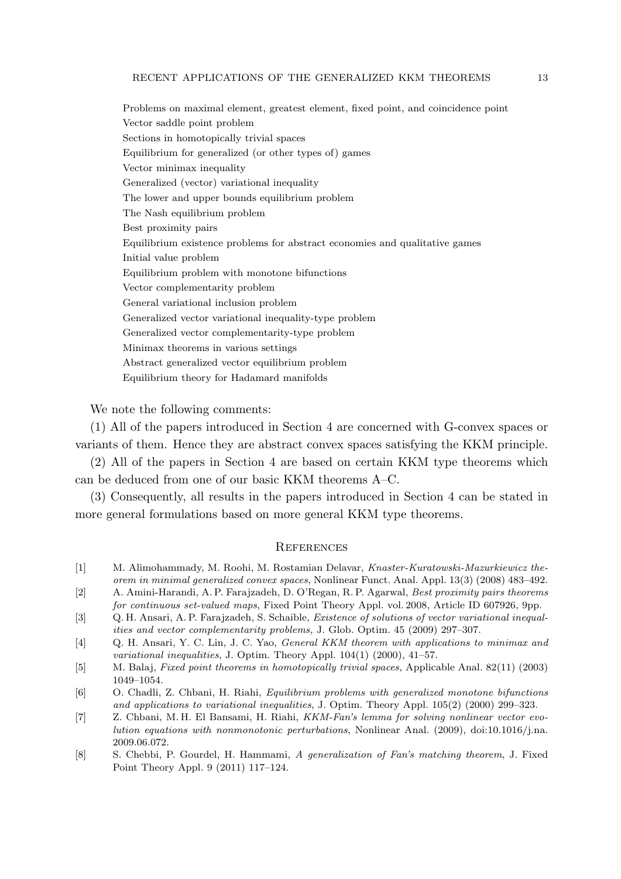Problems on maximal element, greatest element, fixed point, and coincidence point Vector saddle point problem Sections in homotopically trivial spaces Equilibrium for generalized (or other types of) games Vector minimax inequality Generalized (vector) variational inequality The lower and upper bounds equilibrium problem The Nash equilibrium problem Best proximity pairs Equilibrium existence problems for abstract economies and qualitative games Initial value problem Equilibrium problem with monotone bifunctions Vector complementarity problem General variational inclusion problem Generalized vector variational inequality-type problem Generalized vector complementarity-type problem Minimax theorems in various settings Abstract generalized vector equilibrium problem Equilibrium theory for Hadamard manifolds

We note the following comments:

(1) All of the papers introduced in Section 4 are concerned with G-convex spaces or variants of them. Hence they are abstract convex spaces satisfying the KKM principle.

(2) All of the papers in Section 4 are based on certain KKM type theorems which can be deduced from one of our basic KKM theorems A–C.

(3) Consequently, all results in the papers introduced in Section 4 can be stated in more general formulations based on more general KKM type theorems.

### **REFERENCES**

- [1] M. Alimohammady, M. Roohi, M. Rostamian Delavar, *Knaster-Kuratowski-Mazurkiewicz theorem in minimal generalized convex spaces*, Nonlinear Funct. Anal. Appl. 13(3) (2008) 483–492.
- [2] A. Amini-Harandi, A. P. Farajzadeh, D. O'Regan, R. P. Agarwal, *Best proximity pairs theorems for continuous set-valued maps*, Fixed Point Theory Appl. vol. 2008, Article ID 607926, 9pp.
- [3] Q. H. Ansari, A. P. Farajzadeh, S. Schaible, *Existence of solutions of vector variational inequalities and vector complementarity problems,* J. Glob. Optim. 45 (2009) 297–307.
- [4] Q. H. Ansari, Y. C. Lin, J. C. Yao, *General KKM theorem with applications to minimax and variational inequalities*, J. Optim. Theory Appl. 104(1) (2000), 41–57.
- [5] M. Balaj, *Fixed point theorems in homotopically trivial spaces,* Applicable Anal. 82(11) (2003) 1049–1054.
- [6] O. Chadli, Z. Chbani, H. Riahi, *Equilibrium problems with generalized monotone bifunctions and applications to variational inequalities*, J. Optim. Theory Appl. 105(2) (2000) 299–323.
- [7] Z. Chbani, M. H. El Bansami, H. Riahi, *KKM-Fan's lemma for solving nonlinear vector evolution equations with nonmonotonic perturbations*, Nonlinear Anal. (2009), doi:10.1016/j.na. 2009.06.072.
- [8] S. Chebbi, P. Gourdel, H. Hammami, *A generalization of Fan's matching theorem*, J. Fixed Point Theory Appl. 9 (2011) 117–124.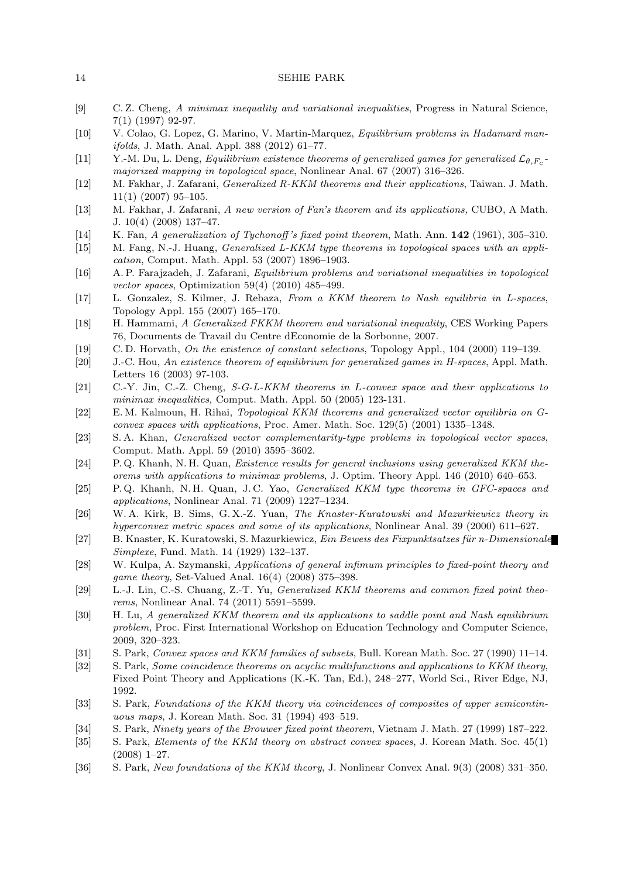| [9] | C.Z. Cheng, A minimax inequality and variational inequalities, Progress in Natural Science, |  |
|-----|---------------------------------------------------------------------------------------------|--|
|     | $7(1)$ (1997) 92-97.                                                                        |  |

- [10] V. Colao, G. Lopez, G. Marino, V. Martin-Marquez, *Equilibrium problems in Hadamard manifolds*, J. Math. Anal. Appl. 388 (2012) 61–77.
- [11] Y.-M. Du, L. Deng, *Equilibrium existence theorems of generalized games for generalized*  $\mathcal{L}_{\theta,F_c}$ *majorized mapping in topological space*, Nonlinear Anal. 67 (2007) 316–326.
- [12] M. Fakhar, J. Zafarani, *Generalized R-KKM theorems and their applications*, Taiwan. J. Math. 11(1) (2007) 95–105.
- [13] M. Fakhar, J. Zafarani, *A new version of Fan's theorem and its applications,* CUBO, A Math. J. 10(4) (2008) 137–47.
- [14] K. Fan, *A generalization of Tychonoff 's fixed point theorem*, Math. Ann. **142** (1961), 305–310.
- [15] M. Fang, N.-J. Huang, *Generalized L-KKM type theorems in topological spaces with an application*, Comput. Math. Appl. 53 (2007) 1896–1903.
- [16] A. P. Farajzadeh, J. Zafarani, *Equilibrium problems and variational inequalities in topological vector spaces*, Optimization 59(4) (2010) 485–499.
- [17] L. Gonzalez, S. Kilmer, J. Rebaza, *From a KKM theorem to Nash equilibria in L-spaces*, Topology Appl. 155 (2007) 165–170.
- [18] H. Hammami, *A Generalized FKKM theorem and variational inequality*, CES Working Papers 76, Documents de Travail du Centre dEconomie de la Sorbonne, 2007.
- [19] C. D. Horvath, *On the existence of constant selections*, Topology Appl., 104 (2000) 119–139.
- [20] J.-C. Hou, *An existence theorem of equilibrium for generalized games in H-spaces*, Appl. Math. Letters 16 (2003) 97-103.
- [21] C.-Y. Jin, C.-Z. Cheng, *S-G-L-KKM theorems in L-convex space and their applications to minimax inequalities,* Comput. Math. Appl. 50 (2005) 123-131.
- [22] E. M. Kalmoun, H. Rihai, *Topological KKM theorems and generalized vector equilibria on Gconvex spaces with applications*, Proc. Amer. Math. Soc. 129(5) (2001) 1335–1348.
- [23] S. A. Khan, *Generalized vector complementarity-type problems in topological vector spaces*, Comput. Math. Appl. 59 (2010) 3595–3602.
- [24] P. Q. Khanh, N. H. Quan, *Existence results for general inclusions using generalized KKM theorems with applications to minimax problems*, J. Optim. Theory Appl. 146 (2010) 640–653.
- [25] P. Q. Khanh, N. H. Quan, J. C. Yao, *Generalized KKM type theorems in GFC-spaces and applications*, Nonlinear Anal. 71 (2009) 1227–1234.
- [26] W. A. Kirk, B. Sims, G. X.-Z. Yuan, *The Knaster-Kuratowski and Mazurkiewicz theory in hyperconvex metric spaces and some of its applications*, Nonlinear Anal. 39 (2000) 611–627.
- [27] B. Knaster, K. Kuratowski, S. Mazurkiewicz, *Ein Beweis des Fixpunktsatzes f¨ur n-Dimensionale Simplexe*, Fund. Math. 14 (1929) 132–137.
- [28] W. Kulpa, A. Szymanski, *Applications of general infimum principles to fixed-point theory and game theory*, Set-Valued Anal. 16(4) (2008) 375–398.
- [29] L.-J. Lin, C.-S. Chuang, Z.-T. Yu, *Generalized KKM theorems and common fixed point theorems*, Nonlinear Anal. 74 (2011) 5591–5599.
- [30] H. Lu, *A generalized KKM theorem and its applications to saddle point and Nash equilibrium problem*, Proc. First International Workshop on Education Technology and Computer Science, 2009, 320–323.
- [31] S. Park, *Convex spaces and KKM families of subsets*, Bull. Korean Math. Soc. 27 (1990) 11–14.
- [32] S. Park, *Some coincidence theorems on acyclic multifunctions and applications to KKM theory*, Fixed Point Theory and Applications (K.-K. Tan, Ed.), 248–277, World Sci., River Edge, NJ, 1992.
- [33] S. Park, *Foundations of the KKM theory via coincidences of composites of upper semicontinuous maps*, J. Korean Math. Soc. 31 (1994) 493–519.
- [34] S. Park, *Ninety years of the Brouwer fixed point theorem*, Vietnam J. Math. 27 (1999) 187–222.
- [35] S. Park, *Elements of the KKM theory on abstract convex spaces*, J. Korean Math. Soc. 45(1) (2008) 1–27.
- [36] S. Park, *New foundations of the KKM theory*, J. Nonlinear Convex Anal. 9(3) (2008) 331–350.